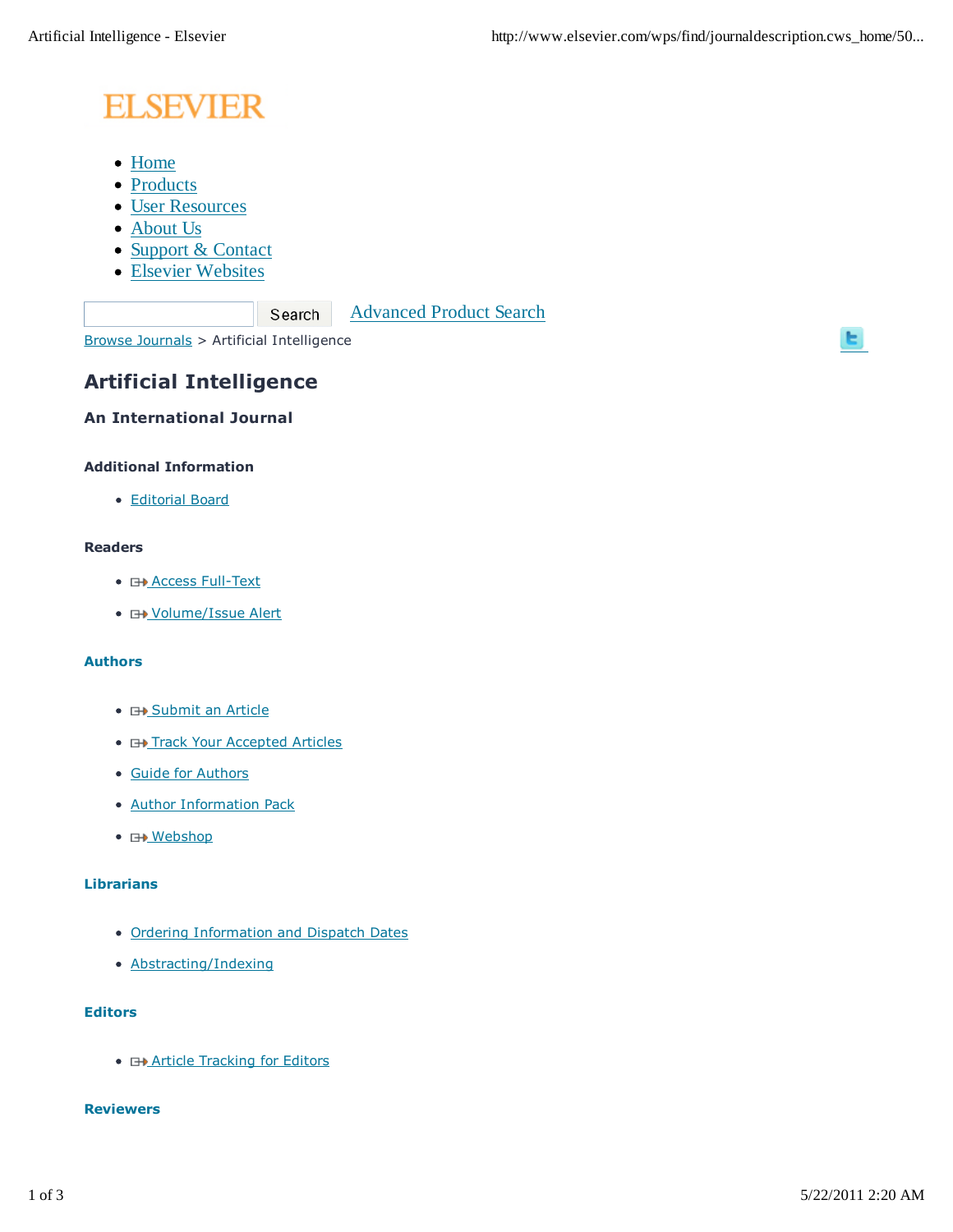# **ELSEVIER**

- Home
- Products
- User Resources
- About Us
- Support & Contact
- Elsevier Websites

Advanced Product Search

Browse Journals > Artificial Intelligence

Search

# **Artificial Intelligence**

## **An International Journal**

#### **Additional Information**

Editorial Board

## **Readers**

- **E+ Access Full-Text**
- **E+ Volume/Issue Alert**

#### **Authors**

- **E+ Submit an Article**
- **E+ Track Your Accepted Articles**
- Guide for Authors
- Author Information Pack
- **H**Mebshop

#### **Librarians**

- Ordering Information and Dispatch Dates
- Abstracting/Indexing

#### **Editors**

**• E+ Article Tracking for Editors** 

#### **Reviewers**

ы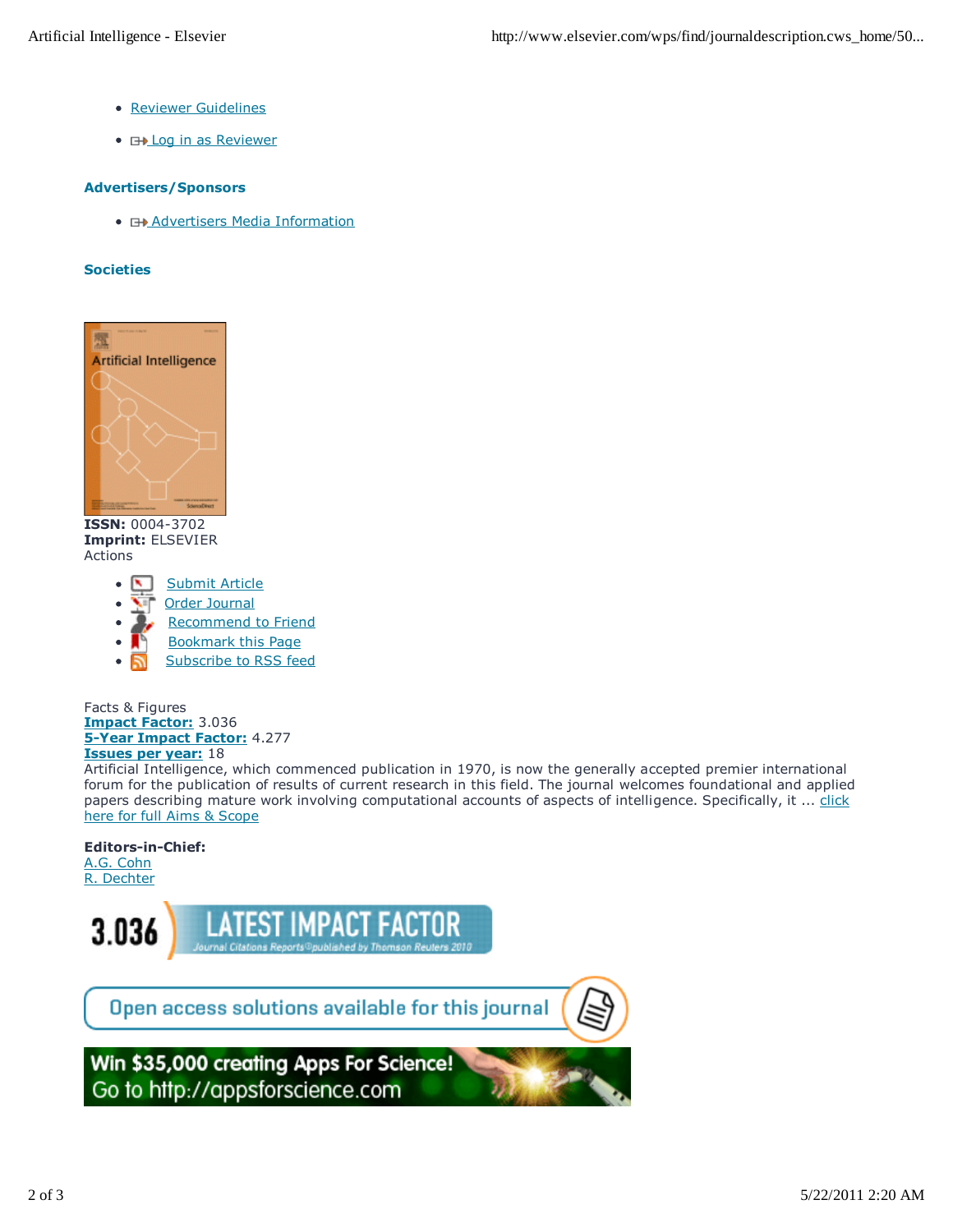- Reviewer Guidelines
- **EXALLOG in as Reviewer**

#### **Advertisers/Sponsors**

**• E+ Advertisers Media Information** 

#### **Societies**



**ISSN:** 0004-3702 **Imprint:** ELSEVIER Actions

- Submit Article
- Order Journal
- Recommend to Friend
- Bookmark this Page
- Subscribe to RSS feed

Facts & Figures **Impact Factor:** 3.036 **5-Year Impact Factor:** 4.277 **Issues per year:** 18

Artificial Intelligence, which commenced publication in 1970, is now the generally accepted premier international forum for the publication of results of current research in this field. The journal welcomes foundational and applied papers describing mature work involving computational accounts of aspects of intelligence. Specifically, it ... click here for full Aims & Scope

#### **Editors-in-Chief:**

A.G. Cohn R. Dechter